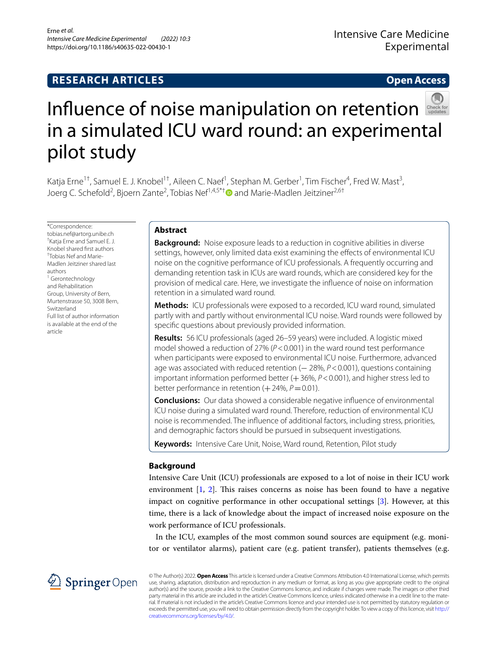## **RESEARCH ARTICLES**

## **Open Access**



# Influence of noise manipulation on retention in a simulated ICU ward round: an experimental pilot study

Katja Erne<sup>1†</sup>, Samuel E. J. Knobel<sup>1†</sup>, Aileen C. Naef<sup>1</sup>, Stephan M. Gerber<sup>1</sup>, Tim Fischer<sup>4</sup>, Fred W. Mast<sup>3</sup>, Joerg C. Schefold<sup>2</sup>, Bjoern Zante<sup>2</sup>, Tobias Nef<sup>1,4,5\*[†](http://orcid.org/0000-0002-8069-9450)</sup>❶ and Marie-Madlen Jeitziner<sup>2,6†</sup>

\*Correspondence: tobias.nef@artorg.unibe.ch † Katja Erne and Samuel E. J. Knobel shared frst authors † Tobias Nef and Marie-Madlen Jeitziner shared last authors <sup>1</sup> Gerontechnology and Rehabilitation Group, University of Bern, Murtenstrasse 50, 3008 Bern, Switzerland Full list of author information is available at the end of the article

## **Abstract**

**Background:** Noise exposure leads to a reduction in cognitive abilities in diverse settings, however, only limited data exist examining the effects of environmental ICU noise on the cognitive performance of ICU professionals. A frequently occurring and demanding retention task in ICUs are ward rounds, which are considered key for the provision of medical care. Here, we investigate the infuence of noise on information retention in a simulated ward round.

**Methods:** ICU professionals were exposed to a recorded, ICU ward round, simulated partly with and partly without environmental ICU noise. Ward rounds were followed by specifc questions about previously provided information.

**Results:** 56 ICU professionals (aged 26–59 years) were included. A logistic mixed model showed a reduction of 27% ( $P < 0.001$ ) in the ward round test performance when participants were exposed to environmental ICU noise. Furthermore, advanced age was associated with reduced retention (− 28%,  $P$  < 0.001), questions containing important information performed better (+36%,  $P < 0.001$ ), and higher stress led to better performance in retention  $(+24\%, P=0.01)$ .

**Conclusions:** Our data showed a considerable negative infuence of environmental ICU noise during a simulated ward round. Therefore, reduction of environmental ICU noise is recommended. The infuence of additional factors, including stress, priorities, and demographic factors should be pursued in subsequent investigations.

**Keywords:** Intensive Care Unit, Noise, Ward round, Retention, Pilot study

## **Background**

Intensive Care Unit (ICU) professionals are exposed to a lot of noise in their ICU work environment  $[1, 2]$  $[1, 2]$  $[1, 2]$ . This raises concerns as noise has been found to have a negative impact on cognitive performance in other occupational settings [\[3](#page-8-2)]. However, at this time, there is a lack of knowledge about the impact of increased noise exposure on the work performance of ICU professionals.

In the ICU, examples of the most common sound sources are equipment (e.g. monitor or ventilator alarms), patient care (e.g. patient transfer), patients themselves (e.g.



© The Author(s) 2022. **Open Access** This article is licensed under a Creative Commons Attribution 4.0 International License, which permits use, sharing, adaptation, distribution and reproduction in any medium or format, as long as you give appropriate credit to the original author(s) and the source, provide a link to the Creative Commons licence, and indicate if changes were made. The images or other third party material in this article are included in the article's Creative Commons licence, unless indicated otherwise in a credit line to the material. If material is not included in the article's Creative Commons licence and your intended use is not permitted by statutory regulation or exceeds the permitted use, you will need to obtain permission directly from the copyright holder. To view a copy of this licence, visit [http://](http://creativecommons.org/licenses/by/4.0/) [creativecommons.org/licenses/by/4.0/.](http://creativecommons.org/licenses/by/4.0/)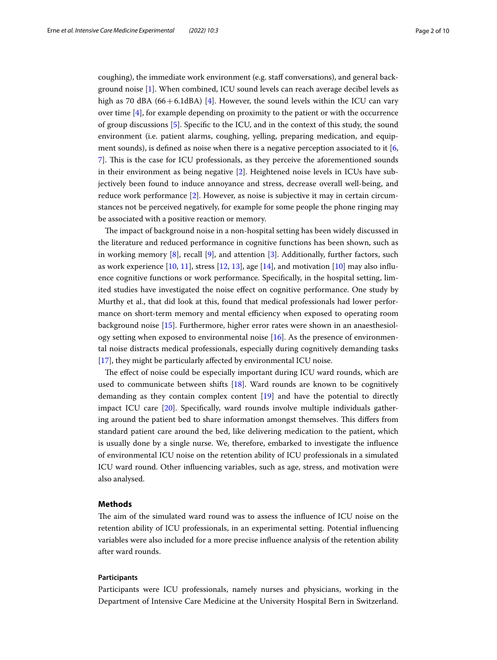coughing), the immediate work environment (e.g. staf conversations), and general background noise [\[1](#page-8-0)]. When combined, ICU sound levels can reach average decibel levels as high as 70 dBA  $(66+6.1dBA)$  [[4\]](#page-8-3). However, the sound levels within the ICU can vary over time [\[4](#page-8-3)], for example depending on proximity to the patient or with the occurrence of group discussions [[5\]](#page-8-4). Specifc to the ICU, and in the context of this study, the sound environment (i.e. patient alarms, coughing, yelling, preparing medication, and equipment sounds), is defned as noise when there is a negative perception associated to it [\[6](#page-8-5), [7\]](#page-8-6). Tis is the case for ICU professionals, as they perceive the aforementioned sounds in their environment as being negative [\[2\]](#page-8-1). Heightened noise levels in ICUs have subjectively been found to induce annoyance and stress, decrease overall well-being, and reduce work performance [\[2](#page-8-1)]. However, as noise is subjective it may in certain circumstances not be perceived negatively, for example for some people the phone ringing may be associated with a positive reaction or memory.

The impact of background noise in a non-hospital setting has been widely discussed in the literature and reduced performance in cognitive functions has been shown, such as in working memory [[8](#page-8-7)], recall [[9\]](#page-8-8), and attention [\[3\]](#page-8-2). Additionally, further factors, such as work experience  $[10, 11]$  $[10, 11]$  $[10, 11]$  $[10, 11]$  $[10, 11]$ , stress  $[12, 13]$  $[12, 13]$  $[12, 13]$ , age  $[14]$ , and motivation  $[10]$  $[10]$  may also influence cognitive functions or work performance. Specifcally, in the hospital setting, limited studies have investigated the noise efect on cognitive performance. One study by Murthy et al., that did look at this, found that medical professionals had lower performance on short-term memory and mental efficiency when exposed to operating room background noise [[15\]](#page-8-14). Furthermore, higher error rates were shown in an anaesthesiology setting when exposed to environmental noise [[16](#page-8-15)]. As the presence of environmental noise distracts medical professionals, especially during cognitively demanding tasks [[17\]](#page-8-16), they might be particularly affected by environmental ICU noise.

The effect of noise could be especially important during ICU ward rounds, which are used to communicate between shifts [\[18](#page-8-17)]. Ward rounds are known to be cognitively demanding as they contain complex content [[19](#page-8-18)] and have the potential to directly impact ICU care [\[20\]](#page-8-19). Specifcally, ward rounds involve multiple individuals gathering around the patient bed to share information amongst themselves. This differs from standard patient care around the bed, like delivering medication to the patient, which is usually done by a single nurse. We, therefore, embarked to investigate the infuence of environmental ICU noise on the retention ability of ICU professionals in a simulated ICU ward round. Other infuencing variables, such as age, stress, and motivation were also analysed.

## **Methods**

The aim of the simulated ward round was to assess the influence of ICU noise on the retention ability of ICU professionals, in an experimental setting. Potential infuencing variables were also included for a more precise infuence analysis of the retention ability after ward rounds.

## **Participants**

Participants were ICU professionals, namely nurses and physicians, working in the Department of Intensive Care Medicine at the University Hospital Bern in Switzerland.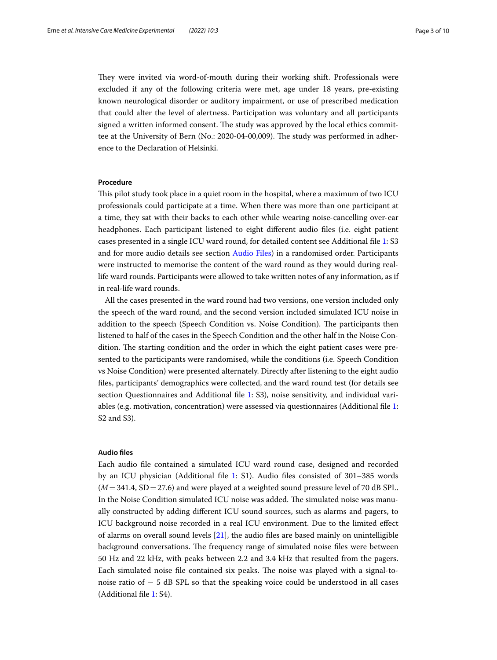They were invited via word-of-mouth during their working shift. Professionals were excluded if any of the following criteria were met, age under 18 years, pre-existing known neurological disorder or auditory impairment, or use of prescribed medication that could alter the level of alertness. Participation was voluntary and all participants signed a written informed consent. The study was approved by the local ethics committee at the University of Bern (No.: 2020-04-00,009). The study was performed in adherence to the Declaration of Helsinki.

## **Procedure**

Tis pilot study took place in a quiet room in the hospital, where a maximum of two ICU professionals could participate at a time. When there was more than one participant at a time, they sat with their backs to each other while wearing noise-cancelling over-ear headphones. Each participant listened to eight diferent audio fles (i.e. eight patient cases presented in a single ICU ward round, for detailed content see Additional fle [1](#page-7-0): S3 and for more audio details see section [Audio Files](#page-3-0)) in a randomised order. Participants were instructed to memorise the content of the ward round as they would during reallife ward rounds. Participants were allowed to take written notes of any information, as if in real-life ward rounds.

All the cases presented in the ward round had two versions, one version included only the speech of the ward round, and the second version included simulated ICU noise in addition to the speech (Speech Condition vs. Noise Condition). The participants then listened to half of the cases in the Speech Condition and the other half in the Noise Condition. The starting condition and the order in which the eight patient cases were presented to the participants were randomised, while the conditions (i.e. Speech Condition vs Noise Condition) were presented alternately. Directly after listening to the eight audio fles, participants' demographics were collected, and the ward round test (for details see section Questionnaires and Additional fle [1](#page-7-0): S3), noise sensitivity, and individual variables (e.g. motivation, concentration) were assessed via questionnaires (Additional fle [1](#page-7-0): S2 and S3).

#### **Audio fles**

Each audio fle contained a simulated ICU ward round case, designed and recorded by an ICU physician (Additional fle [1:](#page-7-0) S1). Audio fles consisted of 301–385 words  $(M=341.4, SD=27.6)$  and were played at a weighted sound pressure level of 70 dB SPL. In the Noise Condition simulated ICU noise was added. The simulated noise was manually constructed by adding diferent ICU sound sources, such as alarms and pagers, to ICU background noise recorded in a real ICU environment. Due to the limited efect of alarms on overall sound levels [\[21](#page-8-20)], the audio fles are based mainly on unintelligible background conversations. The frequency range of simulated noise files were between 50 Hz and 22 kHz, with peaks between 2.2 and 3.4 kHz that resulted from the pagers. Each simulated noise file contained six peaks. The noise was played with a signal-tonoise ratio of − 5 dB SPL so that the speaking voice could be understood in all cases (Additional fle [1](#page-7-0): S4).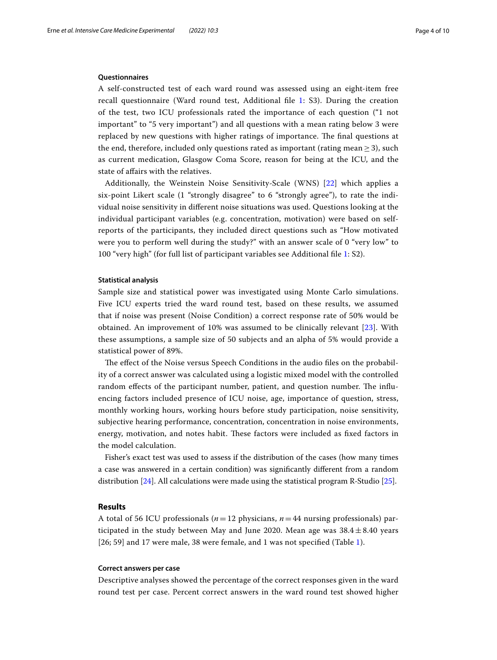## <span id="page-3-0"></span>**Questionnaires**

A self-constructed test of each ward round was assessed using an eight-item free recall questionnaire (Ward round test, Additional fle [1](#page-7-0): S3). During the creation of the test, two ICU professionals rated the importance of each question ("1 not important" to "5 very important") and all questions with a mean rating below 3 were replaced by new questions with higher ratings of importance. The final questions at the end, therefore, included only questions rated as important (rating mean  $\geq$  3), such as current medication, Glasgow Coma Score, reason for being at the ICU, and the state of afairs with the relatives.

Additionally, the Weinstein Noise Sensitivity-Scale (WNS) [[22\]](#page-8-21) which applies a six-point Likert scale (1 "strongly disagree" to 6 "strongly agree"), to rate the individual noise sensitivity in diferent noise situations was used. Questions looking at the individual participant variables (e.g. concentration, motivation) were based on selfreports of the participants, they included direct questions such as "How motivated were you to perform well during the study?" with an answer scale of 0 "very low" to 100 "very high" (for full list of participant variables see Additional fle [1:](#page-7-0) S2).

## **Statistical analysis**

Sample size and statistical power was investigated using Monte Carlo simulations. Five ICU experts tried the ward round test, based on these results, we assumed that if noise was present (Noise Condition) a correct response rate of 50% would be obtained. An improvement of 10% was assumed to be clinically relevant [[23](#page-8-22)]. With these assumptions, a sample size of 50 subjects and an alpha of 5% would provide a statistical power of 89%.

The effect of the Noise versus Speech Conditions in the audio files on the probability of a correct answer was calculated using a logistic mixed model with the controlled random effects of the participant number, patient, and question number. The influencing factors included presence of ICU noise, age, importance of question, stress, monthly working hours, working hours before study participation, noise sensitivity, subjective hearing performance, concentration, concentration in noise environments, energy, motivation, and notes habit. These factors were included as fixed factors in the model calculation.

Fisher's exact test was used to assess if the distribution of the cases (how many times a case was answered in a certain condition) was signifcantly diferent from a random distribution [[24](#page-8-23)]. All calculations were made using the statistical program R-Studio [\[25](#page-8-24)].

## **Results**

A total of 56 ICU professionals (*n*=12 physicians, *n*=44 nursing professionals) participated in the study between May and June 2020. Mean age was  $38.4 \pm 8.40$  years [26; 59] and 17 were male, 38 were female, and 1 was not specified (Table [1\)](#page-4-0).

## **Correct answers per case**

Descriptive analyses showed the percentage of the correct responses given in the ward round test per case. Percent correct answers in the ward round test showed higher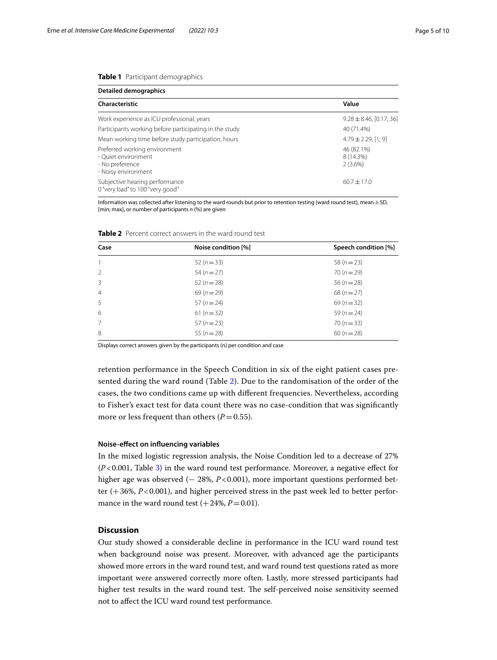## <span id="page-4-0"></span>**Table 1** Participant demographics

| <b>Detailed demographics</b>                                                                   |                                    |  |  |  |
|------------------------------------------------------------------------------------------------|------------------------------------|--|--|--|
| Characteristic                                                                                 | Value                              |  |  |  |
| Work experience as ICU professional, years                                                     | $9.28 \pm 8.46$ , [0.17; 36]       |  |  |  |
| Participants working before participating in the study                                         | 40 (71.4%)                         |  |  |  |
| Mean working time before study participation, hours                                            | $4.79 \pm 2.29$ , [1; 9]           |  |  |  |
| Preferred working environment<br>- Ouiet environment<br>- No preference<br>- Noisy environment | 46 (82.1%)<br>8 (14.3%)<br>2(3.6%) |  |  |  |
| Subjective hearing performance<br>0 "very bad" to 100 "very good"                              | $60.7 + 17.0$                      |  |  |  |

Information was collected after listening to the ward rounds but prior to retention testing (ward round test), mean $\pm$ SD, [min; max], or number of participants *n* (%) are given

| Case           | Noise condition [%] | Speech condition [%] |
|----------------|---------------------|----------------------|
| 1              | 52 $(n=33)$         | 58 $(n=23)$          |
| $\mathcal{P}$  | $54(n=27)$          | $70(n=29)$           |
| 3              | $52(n=28)$          | $56 (n = 28)$        |
| $\overline{4}$ | $69 (n = 29)$       | $68(n=27)$           |
| -5             | $57(n=24)$          | $69(n=32)$           |
| 6              | 61 ( $n = 32$ )     | 59 ( $n = 24$ )      |
| 7              | $57(n=23)$          | $70(n=33)$           |
| 8              | 55 ( $n = 28$ )     | $60(n=28)$           |

<span id="page-4-1"></span>**Table 2** Percent correct answers in the ward round test

Displays correct answers given by the participants (n) per condition and case

retention performance in the Speech Condition in six of the eight patient cases presented during the ward round (Table [2\)](#page-4-1). Due to the randomisation of the order of the cases, the two conditions came up with diferent frequencies. Nevertheless, according to Fisher's exact test for data count there was no case-condition that was signifcantly more or less frequent than others  $(P=0.55)$ .

#### **Noise‑efect on infuencing variables**

In the mixed logistic regression analysis, the Noise Condition led to a decrease of 27% (*P*<0.001, Table [3](#page-5-0)) in the ward round test performance. Moreover, a negative efect for higher age was observed (− 28%, *P*<0.001), more important questions performed better  $(+36%, P<0.001)$ , and higher perceived stress in the past week led to better performance in the ward round test  $(+24\%, P=0.01)$ .

## **Discussion**

Our study showed a considerable decline in performance in the ICU ward round test when background noise was present. Moreover, with advanced age the participants showed more errors in the ward round test, and ward round test questions rated as more important were answered correctly more often. Lastly, more stressed participants had higher test results in the ward round test. The self-perceived noise sensitivity seemed not to afect the ICU ward round test performance.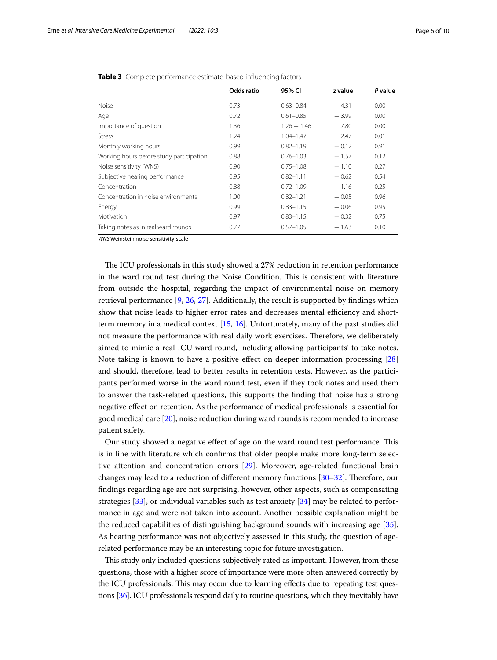|                                          | Odds ratio | 95% CI        | z value | P value |
|------------------------------------------|------------|---------------|---------|---------|
| <b>Noise</b>                             | 0.73       | $0.63 - 0.84$ | $-4.31$ | 0.00    |
| Age                                      | 0.72       | $0.61 - 0.85$ | $-3.99$ | 0.00    |
| Importance of question                   | 1.36       | $1.26 - 1.46$ | 7.80    | 0.00    |
| <b>Stress</b>                            | 1.24       | $1.04 - 1.47$ | 2.47    | 0.01    |
| Monthly working hours                    | 0.99       | $0.82 - 1.19$ | $-0.12$ | 0.91    |
| Working hours before study participation | 0.88       | $0.76 - 1.03$ | $-1.57$ | 0.12    |
| Noise sensitivity (WNS)                  | 0.90       | $0.75 - 1.08$ | $-1.10$ | 0.27    |
| Subjective hearing performance           | 0.95       | $0.82 - 1.11$ | $-0.62$ | 0.54    |
| Concentration                            | 0.88       | $0.72 - 1.09$ | $-1.16$ | 0.25    |
| Concentration in noise environments      | 1.00       | $0.82 - 1.21$ | $-0.05$ | 0.96    |
| Energy                                   | 0.99       | $0.83 - 1.15$ | $-0.06$ | 0.95    |
| Motivation                               | 0.97       | $0.83 - 1.15$ | $-0.32$ | 0.75    |
| Taking notes as in real ward rounds      | 0.77       | $0.57 - 1.05$ | $-1.63$ | 0.10    |

<span id="page-5-0"></span>**Table 3** Complete performance estimate-based infuencing factors

*WNS* Weinstein noise sensitivity-scale

The ICU professionals in this study showed a 27% reduction in retention performance in the ward round test during the Noise Condition. This is consistent with literature from outside the hospital, regarding the impact of environmental noise on memory retrieval performance [[9,](#page-8-8) [26](#page-8-25), [27](#page-8-26)]. Additionally, the result is supported by fndings which show that noise leads to higher error rates and decreases mental efficiency and shortterm memory in a medical context [[15,](#page-8-14) [16\]](#page-8-15). Unfortunately, many of the past studies did not measure the performance with real daily work exercises. Therefore, we deliberately aimed to mimic a real ICU ward round, including allowing participants' to take notes. Note taking is known to have a positive efect on deeper information processing [[28](#page-8-27)] and should, therefore, lead to better results in retention tests. However, as the participants performed worse in the ward round test, even if they took notes and used them to answer the task-related questions, this supports the fnding that noise has a strong negative efect on retention. As the performance of medical professionals is essential for good medical care [\[20](#page-8-19)], noise reduction during ward rounds is recommended to increase patient safety.

Our study showed a negative efect of age on the ward round test performance. Tis is in line with literature which confrms that older people make more long-term selective attention and concentration errors [\[29\]](#page-9-0). Moreover, age-related functional brain changes may lead to a reduction of different memory functions [[30–](#page-9-1)[32](#page-9-2)]. Therefore, our fndings regarding age are not surprising, however, other aspects, such as compensating strategies [\[33\]](#page-9-3), or individual variables such as test anxiety [\[34](#page-9-4)] may be related to performance in age and were not taken into account. Another possible explanation might be the reduced capabilities of distinguishing background sounds with increasing age [\[35](#page-9-5)]. As hearing performance was not objectively assessed in this study, the question of agerelated performance may be an interesting topic for future investigation.

This study only included questions subjectively rated as important. However, from these questions, those with a higher score of importance were more often answered correctly by the ICU professionals. This may occur due to learning effects due to repeating test questions [[36](#page-9-6)]. ICU professionals respond daily to routine questions, which they inevitably have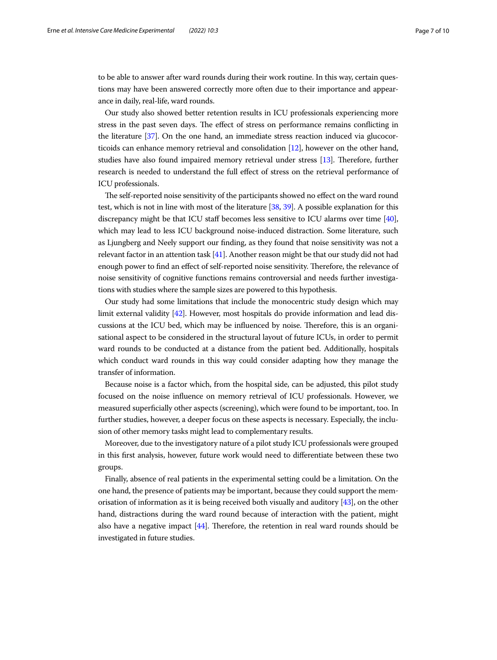to be able to answer after ward rounds during their work routine. In this way, certain questions may have been answered correctly more often due to their importance and appearance in daily, real-life, ward rounds.

Our study also showed better retention results in ICU professionals experiencing more stress in the past seven days. The effect of stress on performance remains conflicting in the literature [\[37\]](#page-9-7). On the one hand, an immediate stress reaction induced via glucocorticoids can enhance memory retrieval and consolidation [[12](#page-8-11)], however on the other hand, studies have also found impaired memory retrieval under stress [[13](#page-8-12)]. Therefore, further research is needed to understand the full efect of stress on the retrieval performance of ICU professionals.

The self-reported noise sensitivity of the participants showed no effect on the ward round test, which is not in line with most of the literature [\[38,](#page-9-8) [39\]](#page-9-9). A possible explanation for this discrepancy might be that ICU staff becomes less sensitive to ICU alarms over time [[40](#page-9-10)], which may lead to less ICU background noise-induced distraction. Some literature, such as Ljungberg and Neely support our fnding, as they found that noise sensitivity was not a relevant factor in an attention task [[41](#page-9-11)]. Another reason might be that our study did not had enough power to find an effect of self-reported noise sensitivity. Therefore, the relevance of noise sensitivity of cognitive functions remains controversial and needs further investigations with studies where the sample sizes are powered to this hypothesis.

Our study had some limitations that include the monocentric study design which may limit external validity [\[42\]](#page-9-12). However, most hospitals do provide information and lead discussions at the ICU bed, which may be influenced by noise. Therefore, this is an organisational aspect to be considered in the structural layout of future ICUs, in order to permit ward rounds to be conducted at a distance from the patient bed. Additionally, hospitals which conduct ward rounds in this way could consider adapting how they manage the transfer of information.

Because noise is a factor which, from the hospital side, can be adjusted, this pilot study focused on the noise infuence on memory retrieval of ICU professionals. However, we measured superfcially other aspects (screening), which were found to be important, too. In further studies, however, a deeper focus on these aspects is necessary. Especially, the inclusion of other memory tasks might lead to complementary results.

Moreover, due to the investigatory nature of a pilot study ICU professionals were grouped in this frst analysis, however, future work would need to diferentiate between these two groups.

Finally, absence of real patients in the experimental setting could be a limitation. On the one hand, the presence of patients may be important, because they could support the memorisation of information as it is being received both visually and auditory  $[43]$ , on the other hand, distractions during the ward round because of interaction with the patient, might also have a negative impact  $[44]$ . Therefore, the retention in real ward rounds should be investigated in future studies.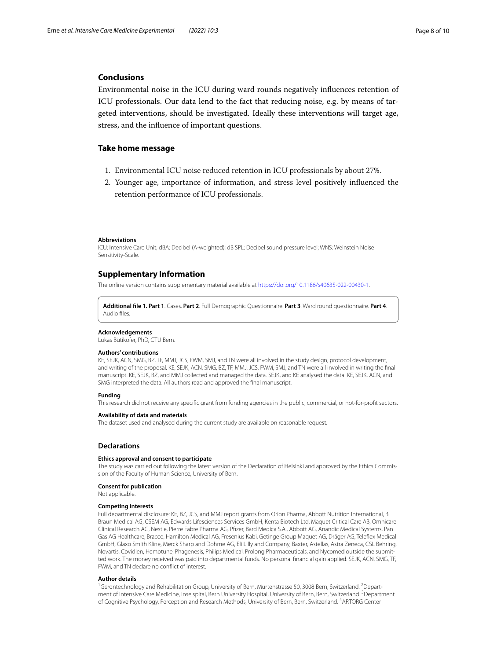## **Conclusions**

Environmental noise in the ICU during ward rounds negatively infuences retention of ICU professionals. Our data lend to the fact that reducing noise, e.g. by means of targeted interventions, should be investigated. Ideally these interventions will target age, stress, and the infuence of important questions.

## **Take home message**

- 1. Environmental ICU noise reduced retention in ICU professionals by about 27%.
- 2. Younger age, importance of information, and stress level positively infuenced the retention performance of ICU professionals.

#### **Abbreviations**

ICU: Intensive Care Unit; dBA: Decibel (A-weighted); dB SPL: Decibel sound pressure level; WNS: Weinstein Noise Sensitivity-Scale.

#### **Supplementary Information**

The online version contains supplementary material available at [https://doi.org/10.1186/s40635-022-00430-1.](https://doi.org/10.1186/s40635-022-00430-1)

<span id="page-7-0"></span>**Additional fle 1. Part 1**. Cases. **Part 2**. Full Demographic Questionnaire. **Part 3**. Ward round questionnaire. **Part 4**. Audio fles.

#### **Acknowledgements**

Lukas Bütikofer, PhD, CTU Bern.

#### **Authors' contributions**

KE, SEJK, ACN, SMG, BZ, TF, MMJ, JCS, FWM, SMJ, and TN were all involved in the study design, protocol development, and writing of the proposal. KE, SEJK, ACN, SMG, BZ, TF, MMJ, JCS, FWM, SMJ, and TN were all involved in writing the fnal manuscript. KE, SEJK, BZ, and MMJ collected and managed the data. SEJK, and KE analysed the data. KE, SEJK, ACN, and SMG interpreted the data. All authors read and approved the fnal manuscript.

#### **Funding**

This research did not receive any specifc grant from funding agencies in the public, commercial, or not-for-proft sectors.

#### **Availability of data and materials**

The dataset used and analysed during the current study are available on reasonable request.

#### **Declarations**

#### **Ethics approval and consent to participate**

The study was carried out following the latest version of the Declaration of Helsinki and approved by the Ethics Commission of the Faculty of Human Science, University of Bern.

#### **Consent for publication**

Not applicable.

#### **Competing interests**

Full departmental disclosure: KE, BZ, JCS, and MMJ report grants from Orion Pharma, Abbott Nutrition International, B. Braun Medical AG, CSEM AG, Edwards Lifesciences Services GmbH, Kenta Biotech Ltd, Maquet Critical Care AB, Omnicare Clinical Research AG, Nestle, Pierre Fabre Pharma AG, Pfzer, Bard Medica S.A., Abbott AG, Anandic Medical Systems, Pan Gas AG Healthcare, Bracco, Hamilton Medical AG, Fresenius Kabi, Getinge Group Maquet AG, Dräger AG, Telefex Medical GmbH, Glaxo Smith Kline, Merck Sharp and Dohme AG, Eli Lilly and Company, Baxter, Astellas, Astra Zeneca, CSL Behring, Novartis, Covidien, Hemotune, Phagenesis, Philips Medical, Prolong Pharmaceuticals, and Nycomed outside the submit‑ ted work. The money received was paid into departmental funds. No personal fnancial gain applied. SEJK, ACN, SMG, TF, FWM, and TN declare no confict of interest.

#### **Author details**

<sup>1</sup>Gerontechnology and Rehabilitation Group, University of Bern, Murtenstrasse 50, 3008 Bern, Switzerland. <sup>2</sup>Department of Intensive Care Medicine, Inselspital, Bern University Hospital, University of Bern, Bern, Switzerland. <sup>3</sup>Department of Cognitive Psychology, Perception and Research Methods, University of Bern, Bern, Switzerland. 4 ARTORG Center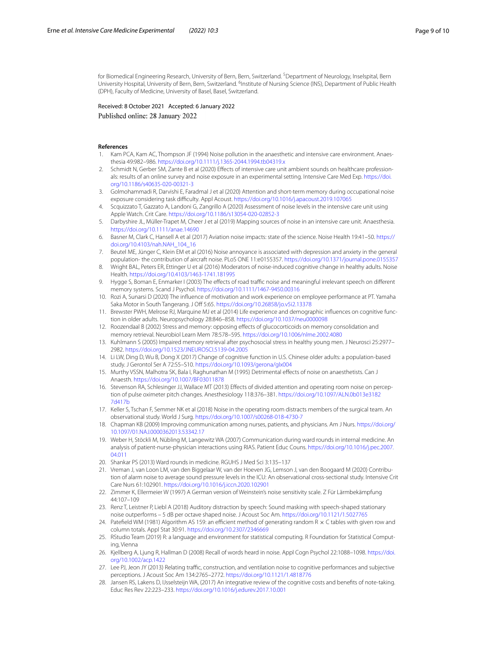for Biomedical Engineering Research, University of Bern, Bern, Switzerland. <sup>5</sup>Department of Neurology, Inselspital, Bern University Hospital, University of Bern, Bern, Switzerland. <sup>6</sup>Institute of Nursing Science (INS), Department of Public Health (DPH), Faculty of Medicine, University of Basel, Basel, Switzerland.

Received: 8 October 2021 Accepted: 6 January 2022 Published online: 28 January 2022

#### **References**

- <span id="page-8-0"></span>1. Kam PCA, Kam AC, Thompson JF (1994) Noise pollution in the anaesthetic and intensive care environment. Anaesthesia 49:982–986.<https://doi.org/10.1111/j.1365-2044.1994.tb04319.x>
- <span id="page-8-1"></span>Schmidt N, Gerber SM, Zante B et al (2020) Effects of intensive care unit ambient sounds on healthcare professionals: results of an online survey and noise exposure in an experimental setting. Intensive Care Med Exp. [https://doi.](https://doi.org/10.1186/s40635-020-00321-3) [org/10.1186/s40635-020-00321-3](https://doi.org/10.1186/s40635-020-00321-3)
- <span id="page-8-2"></span>3. Golmohammadi R, Darvishi E, Faradmal J et al (2020) Attention and short-term memory during occupational noise exposure considering task difficulty. Appl Acoust.<https://doi.org/10.1016/j.apacoust.2019.107065>
- <span id="page-8-3"></span>4. Scquizzato T, Gazzato A, Landoni G, Zangrillo A (2020) Assessment of noise levels in the intensive care unit using Apple Watch. Crit Care.<https://doi.org/10.1186/s13054-020-02852-3>
- <span id="page-8-4"></span>5. Darbyshire JL, Müller-Trapet M, Cheer J et al (2019) Mapping sources of noise in an intensive care unit. Anaesthesia. <https://doi.org/10.1111/anae.14690>
- <span id="page-8-5"></span>6. Basner M, Clark C, Hansell A et al (2017) Aviation noise impacts: state of the science. Noise Health 19:41–50. [https://](https://doi.org/10.4103/nah.NAH_104_16) [doi.org/10.4103/nah.NAH\\_104\\_16](https://doi.org/10.4103/nah.NAH_104_16)
- <span id="page-8-6"></span>7. Beutel ME, Jünger C, Klein EM et al (2016) Noise annoyance is associated with depression and anxiety in the general population- the contribution of aircraft noise. PLoS ONE 11:e0155357. <https://doi.org/10.1371/journal.pone.0155357>
- <span id="page-8-7"></span>8. Wright BAL, Peters ER, Ettinger U et al (2016) Moderators of noise-induced cognitive change in healthy adults. Noise Health.<https://doi.org/10.4103/1463-1741.181995>
- <span id="page-8-8"></span>9. Hygge S, Boman E, Enmarker I (2003) The effects of road traffic noise and meaningful irrelevant speech on different memory systems. Scand J Psychol.<https://doi.org/10.1111/1467-9450.00316>
- <span id="page-8-9"></span>10. Rozi A, Sunarsi D (2020) The infuence of motivation and work experience on employee performance at PT. Yamaha Saka Motor in South Tangerang. J Off 5:65.<https://doi.org/10.26858/jo.v5i2.13378>
- <span id="page-8-10"></span>11. Brewster PWH, Melrose RJ, Marquine MJ et al (2014) Life experience and demographic influences on cognitive function in older adults. Neuropsychology 28:846–858. <https://doi.org/10.1037/neu0000098>
- <span id="page-8-11"></span>12. Roozendaal B (2002) Stress and memory: opposing efects of glucocorticoids on memory consolidation and memory retrieval. Neurobiol Learn Mem 78:578–595.<https://doi.org/10.1006/nlme.2002.4080>
- <span id="page-8-12"></span>13. Kuhlmann S (2005) Impaired memory retrieval after psychosocial stress in healthy young men. J Neurosci 25:2977– 2982.<https://doi.org/10.1523/JNEUROSCI.5139-04.2005>
- <span id="page-8-13"></span>14. Li LW, Ding D, Wu B, Dong X (2017) Change of cognitive function in U.S. Chinese older adults: a population-based study. J Gerontol Ser A 72:S5–S10.<https://doi.org/10.1093/gerona/glx004>
- <span id="page-8-14"></span>15. Murthy VSSN, Malhotra SK, Bala I, Raghunathan M (1995) Detrimental efects of noise on anaesthetists. Can J Anaesth.<https://doi.org/10.1007/BF03011878>
- <span id="page-8-15"></span>16. Stevenson RA, Schlesinger JJ, Wallace MT (2013) Effects of divided attention and operating room noise on perception of pulse oximeter pitch changes. Anesthesiology 118:376–381. [https://doi.org/10.1097/ALN.0b013e3182](https://doi.org/10.1097/ALN.0b013e31827d417b) [7d417b](https://doi.org/10.1097/ALN.0b013e31827d417b)
- <span id="page-8-16"></span>17. Keller S, Tschan F, Semmer NK et al (2018) Noise in the operating room distracts members of the surgical team. An observational study. World J Surg.<https://doi.org/10.1007/s00268-018-4730-7>
- <span id="page-8-17"></span>18. Chapman KB (2009) Improving communication among nurses, patients, and physicians. Am J Nurs. [https://doi.org/](https://doi.org/10.1097/01.NAJ.0000362013.53342.17) [10.1097/01.NAJ.0000362013.53342.17](https://doi.org/10.1097/01.NAJ.0000362013.53342.17)
- <span id="page-8-18"></span>19. Weber H, Stöckli M, Nübling M, Langewitz WA (2007) Communication during ward rounds in internal medicine. An analysis of patient-nurse-physician interactions using RIAS. Patient Educ Couns. [https://doi.org/10.1016/j.pec.2007.](https://doi.org/10.1016/j.pec.2007.04.011) [04.011](https://doi.org/10.1016/j.pec.2007.04.011)
- <span id="page-8-19"></span>20. Shankar PS (2013) Ward rounds in medicine. RGUHS J Med Sci 3:135–137
- <span id="page-8-20"></span>21. Vreman J, van Loon LM, van den Biggelaar W, van der Hoeven JG, Lemson J, van den Boogaard M (2020) Contribution of alarm noise to average sound pressure levels in the ICU: An observational cross-sectional study. Intensive Crit Care Nurs 61:102901. <https://doi.org/10.1016/j.iccn.2020.102901>
- <span id="page-8-21"></span>22. Zimmer K, Ellermeier W (1997) A German version of Weinstein's noise sensitivity scale. Z Für Lärmbekämpfung 44:107–109
- <span id="page-8-22"></span>23. Renz T, Leistner P, Liebl A (2018) Auditory distraction by speech: Sound masking with speech-shaped stationary noise outperforms – 5 dB per octave shaped noise. J Acoust Soc Am.<https://doi.org/10.1121/1.5027765>
- <span id="page-8-23"></span>24. Patefield WM (1981) Algorithm AS 159: an efficient method of generating random R  $\times$  C tables with given row and column totals. Appl Stat 30:91. <https://doi.org/10.2307/2346669>
- <span id="page-8-24"></span>25. RStudio Team (2019) R: a language and environment for statistical computing. R Foundation for Statistical Computing, Vienna
- <span id="page-8-25"></span>26. Kjellberg A, Ljung R, Hallman D (2008) Recall of words heard in noise. Appl Cogn Psychol 22:1088–1098. [https://doi.](https://doi.org/10.1002/acp.1422) [org/10.1002/acp.1422](https://doi.org/10.1002/acp.1422)
- <span id="page-8-26"></span>27. Lee PJ, Jeon JY (2013) Relating traffic, construction, and ventilation noise to cognitive performances and subjective perceptions. J Acoust Soc Am 134:2765–2772. <https://doi.org/10.1121/1.4818776>
- <span id="page-8-27"></span>28. Jansen RS, Lakens D, IJsselsteijn WA, (2017) An integrative review of the cognitive costs and benefts of note-taking. Educ Res Rev 22:223–233. <https://doi.org/10.1016/j.edurev.2017.10.001>